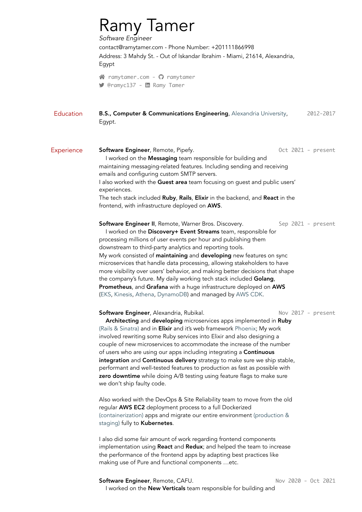|                   | <b>Ramy Tamer</b><br>Software Engineer                                                                                                                                                                                                                                                                                                                                                                                                                                                                                                                                                                                                                                                                                   |                     |  |
|-------------------|--------------------------------------------------------------------------------------------------------------------------------------------------------------------------------------------------------------------------------------------------------------------------------------------------------------------------------------------------------------------------------------------------------------------------------------------------------------------------------------------------------------------------------------------------------------------------------------------------------------------------------------------------------------------------------------------------------------------------|---------------------|--|
|                   | contact@ramytamer.com - Phone Number: +201111866998<br>Address: 3 Mahdy St. - Out of Iskandar Ibrahim - Miami, 21614, Alexandria,<br>Egypt                                                                                                                                                                                                                                                                                                                                                                                                                                                                                                                                                                               |                     |  |
|                   | ↑ ramytamer.com - ? ramytamer<br>● @ramyc137 - in Ramy Tamer                                                                                                                                                                                                                                                                                                                                                                                                                                                                                                                                                                                                                                                             |                     |  |
| Education         | B.S., Computer & Communications Engineering, Alexandria University,<br>2012-2017<br>Egypt.                                                                                                                                                                                                                                                                                                                                                                                                                                                                                                                                                                                                                               |                     |  |
| <b>Experience</b> | Software Engineer, Remote, Pipefy.<br>I worked on the Messaging team responsible for building and<br>maintaining messaging-related features. Including sending and receiving<br>emails and configuring custom SMTP servers.<br>I also worked with the Guest area team focusing on guest and public users'                                                                                                                                                                                                                                                                                                                                                                                                                | Oct 2021 - present  |  |
|                   | experiences.<br>The tech stack included Ruby, Rails, Elixir in the backend, and React in the<br>frontend, with infrastructure deployed on AWS.                                                                                                                                                                                                                                                                                                                                                                                                                                                                                                                                                                           |                     |  |
|                   | Software Engineer II, Remote, Warner Bros. Discovery.<br>Sep 2021 - present<br>I worked on the Discovery+ Event Streams team, responsible for<br>processing millions of user events per hour and publishing them<br>downstream to third-party analytics and reporting tools.<br>My work consisted of maintaining and developing new features on sync<br>microservices that handle data processing, allowing stakeholders to have<br>more visibility over users' behavior, and making better decisions that shape<br>the company's future. My daily working tech stack included Golang,<br>Prometheus, and Grafana with a huge infrastructure deployed on AWS<br>(EKS, Kinesis, Athena, DynamoDB) and managed by AWS CDK. |                     |  |
|                   | Software Engineer, Alexandria, Rubikal.<br>Architecting and developing microservices apps implemented in Ruby<br>(Rails & Sinatra) and in <b>Elixir</b> and it's web framework Phoenix; My work<br>involved rewriting some Ruby services into Elixir and also designing a<br>couple of new microservices to accommodate the increase of the number<br>of users who are using our apps including integrating a Continuous<br>integration and Continuous delivery strategy to make sure we ship stable,<br>performant and well-tested features to production as fast as possible with<br>zero downtime while doing A/B testing using feature flags to make sure<br>we don't ship faulty code.                              | Nov 2017 - present  |  |
|                   | Also worked with the DevOps & Site Reliability team to move from the old<br>regular AWS EC2 deployment process to a full Dockerized<br>(containerization) apps and migrate our entire environment (production &<br>staging) fully to Kubernetes.                                                                                                                                                                                                                                                                                                                                                                                                                                                                         |                     |  |
|                   | I also did some fair amount of work regarding frontend components<br>implementation using React and Redux; and helped the team to increase<br>the performance of the frontend apps by adapting best practices like<br>making use of Pure and functional components etc.                                                                                                                                                                                                                                                                                                                                                                                                                                                  |                     |  |
|                   | Software Engineer, Remote, CAFU.                                                                                                                                                                                                                                                                                                                                                                                                                                                                                                                                                                                                                                                                                         | Nov 2020 - Oct 2021 |  |

I worked on the **New Verticals** team responsible for building and